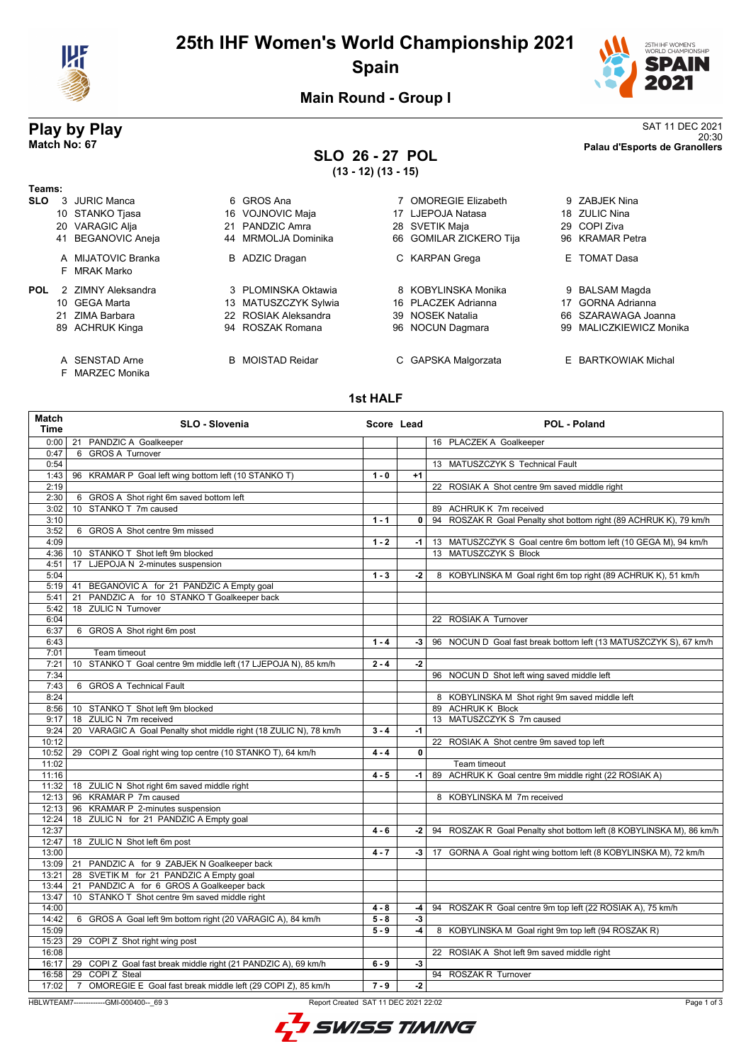

# **25th IHF Women's World Championship 2021 Spain**



**Main Round - Group I**

## **SLO 26 - 27 POL (13 - 12) (13 - 15)**

**Play by Play**<br>Match No: 67<br>Palau d'Esports de Granollers 20:30 **Match No: 67 Palau d'Esports de Granollers**

> 9 ZABJEK Nina 18 ZULIC Nina 29 COPI Ziva 96 KRAMAR Petra E TOMAT Dasa

9 BALSAM Magda 17 GORNA Adrianna 66 SZARAWAGA Joanna 99 MALICZKIEWICZ Monika

**E** BARTKOWIAK Michal

| Teams:     |                    |    |                      |    |                           |
|------------|--------------------|----|----------------------|----|---------------------------|
| <b>SLO</b> | 3 JURIC Manca      |    | 6 GROS Ana           |    | <b>OMOREGIE Elizabeth</b> |
|            | 10 STANKO Tjasa    |    | 16 VOJNOVIC Maja     |    | 17 LJEPOJA Natasa         |
|            | 20 VARAGIC Alja    | 21 | PANDZIC Amra         |    | 28 SVETIK Maja            |
|            | 41 BEGANOVIC Aneja |    | 44 MRMOLJA Dominika  |    | 66 GOMILAR ZICKERO Tija   |
|            | A MIJATOVIC Branka | в  | ADZIC Dragan         |    | C KARPAN Grega            |
|            | F MRAK Marko       |    |                      |    |                           |
| <b>POL</b> | 2 7IMNY Aleksandra |    | 3 PLOMINSKA Oktawia  | 8  | KOBYLINSKA Monika         |
|            | 10 GEGA Marta      | 13 | MATUSZCZYK Sylwia    |    | 16 PLACZEK Adrianna       |
|            | 21 ZIMA Barbara    |    | 22 ROSIAK Aleksandra |    | 39 NOSEK Natalia          |
|            | 89 ACHRUK Kinga    |    | 94 ROSZAK Romana     |    | 96 NOCUN Dagmara          |
|            |                    |    |                      |    |                           |
|            | A SENSTAD Arne     | B. | MOISTAD Reidar       | C. | GAPSKA Malgorzata         |
|            | F MARZEC Monika    |    |                      |    |                           |

### **1st HALF**

| Match<br><b>Time</b> | <b>SLO - Slovenia</b>                                                         | Score Lead         |            | <b>POL - Poland</b>                                                                      |
|----------------------|-------------------------------------------------------------------------------|--------------------|------------|------------------------------------------------------------------------------------------|
| 0:00                 | 21 PANDZIC A Goalkeeper                                                       |                    |            | 16 PLACZEK A Goalkeeper                                                                  |
| 0:47                 | 6 GROS A Turnover                                                             |                    |            |                                                                                          |
| 0:54                 |                                                                               |                    |            | 13 MATUSZCZYK S Technical Fault                                                          |
| 1:43                 | 96 KRAMAR P Goal left wing bottom left (10 STANKO T)                          | $1 - 0$            | $+1$       |                                                                                          |
| 2:19                 |                                                                               |                    |            | 22 ROSIAK A Shot centre 9m saved middle right                                            |
| 2:30                 | 6 GROS A Shot right 6m saved bottom left                                      |                    |            |                                                                                          |
| 3:02                 | 10 STANKO T 7m caused                                                         |                    |            | 89 ACHRUK K 7m received                                                                  |
| 3:10                 |                                                                               | $1 - 1$            | 0          | 94 ROSZAK R Goal Penalty shot bottom right (89 ACHRUK K), 79 km/h                        |
| 3:52                 | 6 GROS A Shot centre 9m missed                                                |                    |            |                                                                                          |
| 4:09                 |                                                                               | $1 - 2$            | $-1$       | 13 MATUSZCZYK S Goal centre 6m bottom left (10 GEGA M), 94 km/h<br>13 MATUSZCZYK S Block |
| 4:36<br>4:51         | 10 STANKO T Shot left 9m blocked<br>17<br>LJEPOJA N 2-minutes suspension      |                    |            |                                                                                          |
| 5:04                 |                                                                               | $1 - 3$            | $-2$       | 8 KOBYLINSKA M Goal right 6m top right (89 ACHRUK K), 51 km/h                            |
| 5:19                 | 41 BEGANOVIC A for 21 PANDZIC A Empty goal                                    |                    |            |                                                                                          |
| 5:41                 | PANDZIC A for 10 STANKO T Goalkeeper back<br>21                               |                    |            |                                                                                          |
| 5:42                 | 18 ZULIC N Turnover                                                           |                    |            |                                                                                          |
| 6:04                 |                                                                               |                    |            | 22 ROSIAK A Turnover                                                                     |
| 6:37                 | 6 GROS A Shot right 6m post                                                   |                    |            |                                                                                          |
| 6:43                 |                                                                               | $1 - 4$            | $-3$       | 96 NOCUN D Goal fast break bottom left (13 MATUSZCZYK S), 67 km/h                        |
| 7:01                 | Team timeout                                                                  |                    |            |                                                                                          |
| 7:21                 | 10 STANKO T Goal centre 9m middle left (17 LJEPOJA N), 85 km/h                | $2 - 4$            | $-2$       |                                                                                          |
| 7:34                 |                                                                               |                    |            | 96 NOCUN D Shot left wing saved middle left                                              |
| 7:43                 | 6 GROS A Technical Fault                                                      |                    |            |                                                                                          |
| 8:24                 |                                                                               |                    |            | 8 KOBYLINSKA M Shot right 9m saved middle left                                           |
| 8:56                 | 10 STANKO T Shot left 9m blocked                                              |                    |            | 89 ACHRUK K Block                                                                        |
| 9:17                 | 18 ZULIC N 7m received                                                        |                    |            | 13 MATUSZCZYK S 7m caused                                                                |
| 9:24                 | 20 VARAGIC A Goal Penalty shot middle right (18 ZULIC N), 78 km/h             | $3 - 4$            | $-1$       |                                                                                          |
| 10:12                |                                                                               |                    |            | 22 ROSIAK A Shot centre 9m saved top left                                                |
| 10:52                | 29 COPI Z Goal right wing top centre (10 STANKO T), 64 km/h                   | $4 - 4$            | 0          |                                                                                          |
| 11:02                |                                                                               |                    |            | Team timeout                                                                             |
| 11:16                |                                                                               | $4 - 5$            | $-1$       | 89 ACHRUK K Goal centre 9m middle right (22 ROSIAK A)                                    |
| 11:32                | 18 ZULIC N Shot right 6m saved middle right                                   |                    |            |                                                                                          |
| 12:13                | 96 KRAMAR P 7m caused                                                         |                    |            | 8 KOBYLINSKA M 7m received                                                               |
| 12:13                | 96 KRAMAR P 2-minutes suspension                                              |                    |            |                                                                                          |
| 12:24                | 18 ZULIC N for 21 PANDZIC A Empty goal                                        |                    |            |                                                                                          |
| 12:37                |                                                                               | $4 - 6$            | $-2$       | 94 ROSZAK R Goal Penalty shot bottom left (8 KOBYLINSKA M), 86 km/h                      |
| 12:47                | 18 ZULIC N Shot left 6m post                                                  |                    |            |                                                                                          |
| 13:00                |                                                                               | $4 - 7$            | -3         | 17 GORNA A Goal right wing bottom left (8 KOBYLINSKA M), 72 km/h                         |
| 13:09                | 21 PANDZIC A for 9 ZABJEK N Goalkeeper back                                   |                    |            |                                                                                          |
| 13:21                | 28 SVETIK M for 21 PANDZIC A Empty goal                                       |                    |            |                                                                                          |
| 13:44                | 21 PANDZIC A for 6 GROS A Goalkeeper back                                     |                    |            |                                                                                          |
| 13:47                | 10 STANKO T Shot centre 9m saved middle right                                 |                    |            |                                                                                          |
| 14:00<br>14:42       |                                                                               | $4 - 8$<br>$5 - 8$ | -4<br>$-3$ | 94 ROSZAK R Goal centre 9m top left (22 ROSIAK A), 75 km/h                               |
| 15:09                | 6 GROS A Goal left 9m bottom right (20 VARAGIC A), 84 km/h                    | $5 - 9$            | $-4$       | 8 KOBYLINSKA M Goal right 9m top left (94 ROSZAK R)                                      |
| 15:23                | 29 COPI Z Shot right wing post                                                |                    |            |                                                                                          |
| 16:08                |                                                                               |                    |            | 22 ROSIAK A Shot left 9m saved middle right                                              |
| 16:17                | 29 COPI Z Goal fast break middle right (21 PANDZIC A), 69 km/h                | $6 - 9$            | $-3$       |                                                                                          |
| 16:58                | 29 COPI Z Steal                                                               |                    |            | 94 ROSZAK R Turnover                                                                     |
| 17:02                | $\overline{7}$<br>OMOREGIE E Goal fast break middle left (29 COPI Z), 85 km/h | $7 - 9$            | $-2$       |                                                                                          |
|                      |                                                                               |                    |            |                                                                                          |

HBLWTEAM7-------------GMI-000400--\_69 3 Report Created SAT 11 DEC 2021 22:02

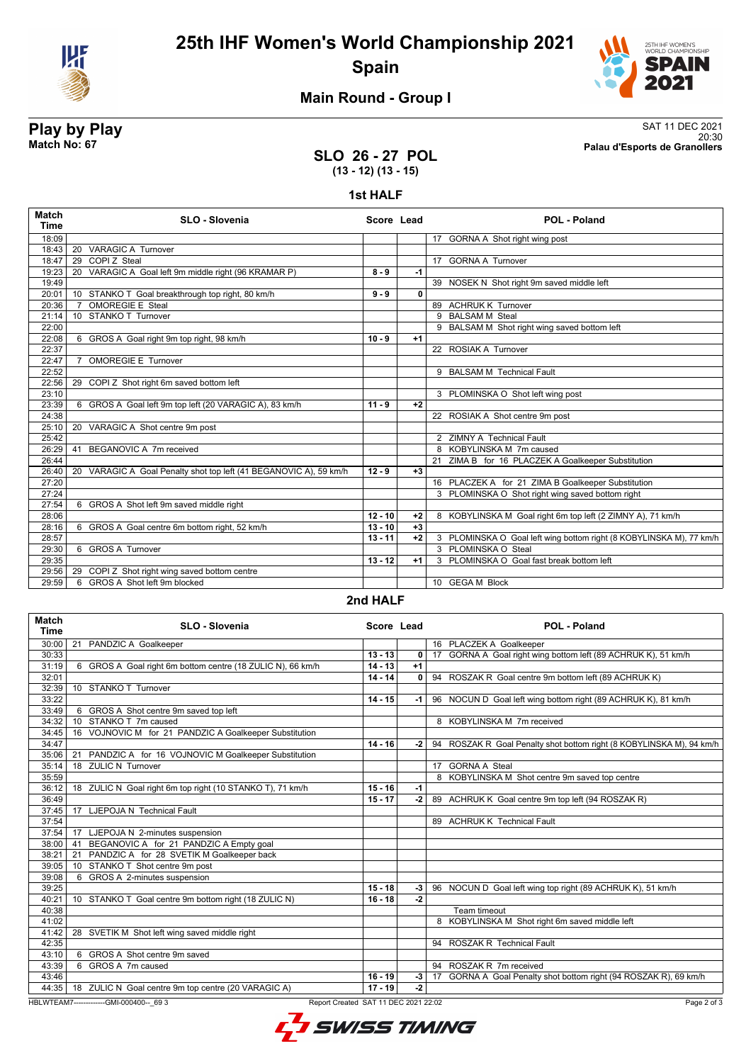



## **Main Round - Group I**

**Play by Play**<br>Match No: 67<br>Palau d'Esports de Granollers 20:30 **Match No: 67 Palau d'Esports de Granollers**

### **SLO 26 - 27 POL (13 - 12) (13 - 15)**

#### **1st HALF**

| Match<br><b>Time</b> | SLO - Slovenia                                                    | Score Lead |              | <b>POL - Poland</b>                                                 |
|----------------------|-------------------------------------------------------------------|------------|--------------|---------------------------------------------------------------------|
| 18:09                |                                                                   |            |              | 17 GORNA A Shot right wing post                                     |
| 18:43                | <b>VARAGIC A Turnover</b><br>20                                   |            |              |                                                                     |
| 18:47                | 29 COPIZ Steal                                                    |            |              | 17 GORNA A Turnover                                                 |
| 19:23                | VARAGIC A Goal left 9m middle right (96 KRAMAR P)<br>20           | $8 - 9$    | $-1$         |                                                                     |
| 19:49                |                                                                   |            |              | 39 NOSEK N Shot right 9m saved middle left                          |
| 20:01                | 10 STANKO T Goal breakthrough top right, 80 km/h                  | $9 - 9$    | $\mathbf{0}$ |                                                                     |
| 20:36                | <b>OMOREGIE E Steal</b><br>$\overline{7}$                         |            |              | 89 ACHRUK K Turnover                                                |
| 21:14                | 10 STANKO T Turnover                                              |            |              | 9 BALSAM M Steal                                                    |
| 22:00                |                                                                   |            |              | 9 BALSAM M Shot right wing saved bottom left                        |
| 22:08                | 6 GROS A Goal right 9m top right, 98 km/h                         | $10 - 9$   | $+1$         |                                                                     |
| 22:37                |                                                                   |            |              | 22 ROSIAK A Turnover                                                |
| 22:47                | <b>OMOREGIE E Turnover</b><br>$\overline{7}$                      |            |              |                                                                     |
| 22:52                |                                                                   |            |              | 9 BALSAM M Technical Fault                                          |
| 22:56                | 29 COPI Z Shot right 6m saved bottom left                         |            |              |                                                                     |
| 23:10                |                                                                   |            |              | 3 PLOMINSKA O Shot left wing post                                   |
| 23:39                | 6 GROS A Goal left 9m top left (20 VARAGIC A), 83 km/h            | $11 - 9$   | $+2$         |                                                                     |
| 24:38                |                                                                   |            |              | 22 ROSIAK A Shot centre 9m post                                     |
| 25:10                | 20 VARAGIC A Shot centre 9m post                                  |            |              |                                                                     |
| 25:42                |                                                                   |            |              | 2 ZIMNY A Technical Fault                                           |
| 26:29                | BEGANOVIC A 7m received<br>41                                     |            |              | 8 KOBYLINSKA M 7m caused                                            |
| 26:44                |                                                                   |            |              | 21 ZIMA B for 16 PLACZEK A Goalkeeper Substitution                  |
| 26:40                | 20 VARAGIC A Goal Penalty shot top left (41 BEGANOVIC A), 59 km/h | $12 - 9$   | $+3$         |                                                                     |
| 27:20                |                                                                   |            |              | 16 PLACZEK A for 21 ZIMA B Goalkeeper Substitution                  |
| 27:24                |                                                                   |            |              | 3 PLOMINSKA O Shot right wing saved bottom right                    |
| 27:54                | 6 GROS A Shot left 9m saved middle right                          |            |              |                                                                     |
| 28:06                |                                                                   | $12 - 10$  | $+2$         | 8 KOBYLINSKA M Goal right 6m top left (2 ZIMNY A), 71 km/h          |
| 28:16                | 6 GROS A Goal centre 6m bottom right, 52 km/h                     | $13 - 10$  | $+3$         |                                                                     |
| 28:57                |                                                                   | $13 - 11$  | $+2$         | 3 PLOMINSKA O Goal left wing bottom right (8 KOBYLINSKA M), 77 km/h |
| 29:30                | 6 GROS A Turnover                                                 |            |              | 3 PLOMINSKA O Steal                                                 |
| 29:35                |                                                                   | $13 - 12$  | $+1$         | 3 PLOMINSKA O Goal fast break bottom left                           |
| 29:56                | 29 COPI Z Shot right wing saved bottom centre                     |            |              |                                                                     |
| 29:59                | 6 GROS A Shot left 9m blocked                                     |            |              | 10 GEGA M Block                                                     |

#### **2nd HALF**

| Match<br><b>Time</b> | <b>SLO - Slovenia</b>                                                                           | Score Lead |                | POL - Poland                                                         |  |
|----------------------|-------------------------------------------------------------------------------------------------|------------|----------------|----------------------------------------------------------------------|--|
| 30:00                | 21<br>PANDZIC A Goalkeeper                                                                      |            |                | 16 PLACZEK A Goalkeeper                                              |  |
| 30:33                |                                                                                                 | $13 - 13$  | $\mathbf{0}$   | 17 GORNA A Goal right wing bottom left (89 ACHRUK K), 51 km/h        |  |
| 31:19                | 6 GROS A Goal right 6m bottom centre (18 ZULIC N), 66 km/h                                      | $14 - 13$  | $+1$           |                                                                      |  |
| 32:01                |                                                                                                 | $14 - 14$  | 0 <sup>1</sup> | 94 ROSZAK R Goal centre 9m bottom left (89 ACHRUK K)                 |  |
| 32:39                | 10 STANKO T Turnover                                                                            |            |                |                                                                      |  |
| 33:22                |                                                                                                 | $14 - 15$  | -1 l           | 96 NOCUN D Goal left wing bottom right (89 ACHRUK K), 81 km/h        |  |
| 33:49                | 6 GROS A Shot centre 9m saved top left                                                          |            |                |                                                                      |  |
| 34:32                | STANKO T 7m caused<br>10 <sup>1</sup>                                                           |            |                | 8 KOBYLINSKA M 7m received                                           |  |
| 34:45                | 16 VOJNOVIC M for 21 PANDZIC A Goalkeeper Substitution                                          |            |                |                                                                      |  |
| 34:47                |                                                                                                 | $14 - 16$  | -2 l           | 94 ROSZAK R Goal Penalty shot bottom right (8 KOBYLINSKA M), 94 km/h |  |
| 35:06                | PANDZIC A for 16 VOJNOVIC M Goalkeeper Substitution<br>21                                       |            |                |                                                                      |  |
| 35:14                | 18 ZULIC N Turnover                                                                             |            |                | 17 GORNA A Steal                                                     |  |
| 35:59                |                                                                                                 |            |                | 8 KOBYLINSKA M Shot centre 9m saved top centre                       |  |
| 36:12                | 18 ZULIC N Goal right 6m top right (10 STANKO T), 71 km/h                                       | $15 - 16$  | $-1$           |                                                                      |  |
| 36:49                |                                                                                                 | $15 - 17$  | $-2$           | 89 ACHRUK K Goal centre 9m top left (94 ROSZAK R)                    |  |
| 37:45                | 17 LJEPOJA N Technical Fault                                                                    |            |                |                                                                      |  |
| 37:54                |                                                                                                 |            |                | 89 ACHRUK K Technical Fault                                          |  |
| 37:54                | 17 LJEPOJA N 2-minutes suspension                                                               |            |                |                                                                      |  |
| 38:00                | BEGANOVIC A for 21 PANDZIC A Empty goal<br>41                                                   |            |                |                                                                      |  |
| 38:21                | PANDZIC A for 28 SVETIK M Goalkeeper back<br>21                                                 |            |                |                                                                      |  |
| 39:05                | 10 STANKO T Shot centre 9m post                                                                 |            |                |                                                                      |  |
| 39:08                | 6 GROS A 2-minutes suspension                                                                   |            |                |                                                                      |  |
| 39:25                |                                                                                                 | $15 - 18$  | $-3$           | 96 NOCUN D Goal left wing top right (89 ACHRUK K), 51 km/h           |  |
| 40:21                | 10 STANKO T Goal centre 9m bottom right (18 ZULIC N)                                            | $16 - 18$  | $-2$           |                                                                      |  |
| 40:38                |                                                                                                 |            |                | Team timeout                                                         |  |
| 41:02                |                                                                                                 |            |                | 8 KOBYLINSKA M Shot right 6m saved middle left                       |  |
| 41:42                | 28 SVETIK M Shot left wing saved middle right                                                   |            |                |                                                                      |  |
| 42:35                |                                                                                                 |            |                | 94 ROSZAK R Technical Fault                                          |  |
| 43:10                | 6 GROS A Shot centre 9m saved                                                                   |            |                |                                                                      |  |
| 43:39                | 6 GROS A 7m caused                                                                              |            |                | 94 ROSZAK R 7m received                                              |  |
| 43:46                |                                                                                                 | $16 - 19$  | $-3$           | 17 GORNA A Goal Penalty shot bottom right (94 ROSZAK R), 69 km/h     |  |
|                      | 44:35   18 ZULIC N Goal centre 9m top centre (20 VARAGIC A)                                     | $17 - 19$  | $-2$           |                                                                      |  |
|                      | HBLWTEAM7--------------GMI-000400-- 69 3<br>Report Created SAT 11 DEC 2021 22:02<br>Page 2 of 3 |            |                |                                                                      |  |